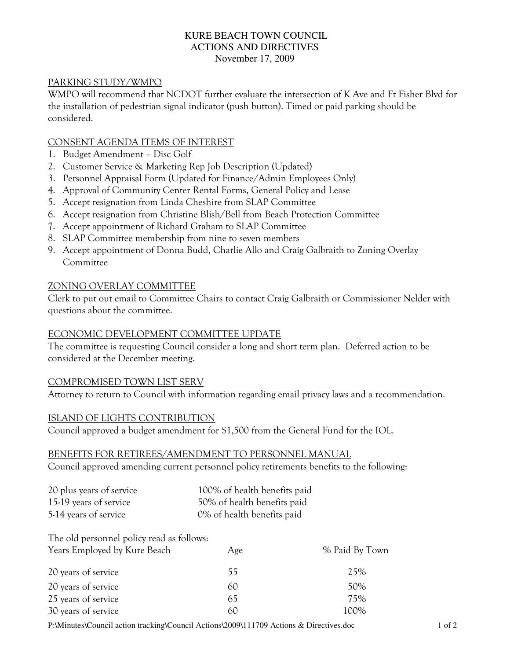### KURE BEACH TOWN COUNCIL ACTIONS AND DIRECTIVES November 17, 2009

### PARKING STUDY/WMPO

WMPO will recommend that NCDOT further evaluate the intersection of K Ave and Ft Fisher Blvd for the installation of pedestrian signal indicator (push button). Timed or paid parking should be considered.

### CONSENT AGENDA ITEMS OF INTEREST

- 1. Budget Amendment Disc Golf
- 2. Customer Service & Marketing Rep Job Description (Updated)
- 3. Personnel Appraisal Form (Updated for Finance/Admin Employees Only)
- 4. Approval of Community Center Rental Forms, General Policy and Lease
- 5. Accept resignation from Linda Cheshire from SLAP Committee
- 6. Accept resignation from Christine Blish/Bell from Beach Protection Committee
- 7. Accept appointment of Richard Graham to SLAP Committee
- 8. SLAP Committee membership from nine to seven members
- 9. Accept appointment of Donna Budd, Charlie Allo and Craig Galbraith to Zoning Overlay Committee

### ZONING OVERLAY COMMITTEE

Clerk to put out email to Committee Chairs to contact Craig Galbraith or Commissioner Nelder with questions about the committee.

### ECONOMIC DEVELOPMENT COMMITTEE UPDATE

The committee is requesting Council consider a long and short term plan. Deferred action to be considered at the December meeting.

### COMPROMISED TOWN LIST SERV

Attorney to return to Council with information regarding email privacy laws and a recommendation.

### ISLAND OF LIGHTS CONTRIBUTION

Council approved a budget amendment for \$1,500 from the General Fund for the IOL.

### BENEFITS FOR RETIREES/AMENDMENT TO PERSONNEL MANUAL

Council approved amending current personnel policy retirements benefits to the following:

| 20 plus years of service | 100% of health benefits paid |
|--------------------------|------------------------------|
| 15-19 years of service   | 50% of health benefits paid  |
| 5-14 years of service    | 0% of health benefits paid   |

# The old personnel policy read as follows:

| Years Employed by Kure Beach | Age | % Paid By Town |
|------------------------------|-----|----------------|
| 20 years of service          | 55  | 25%            |
| 20 years of service          | 60  | 50%            |
| 25 years of service          | 65  | 75%            |
| 30 years of service          | 60  | 100%           |

P:\Minutes\Council action tracking\Council Actions\2009\111709 Actions & Directives.doc 1 of 2